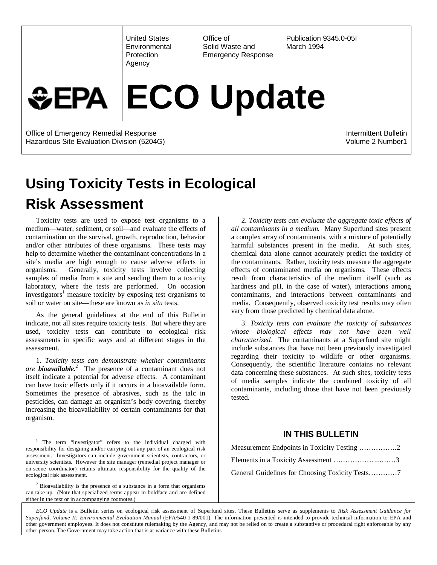United States **Environmental Protection** Agency

Office of Solid Waste and Emergency Response

Publication 9345.0-05I March 1994

# **ECO Update** *GEPA*

Office of Emergency Remedial Response Hazardous Site Evaluation Division (5204G) Intermittent Bulletin Volume 2 Number1

# **Using Toxicity Tests in Ecological Risk Assessment**

Toxicity tests are used to expose test organisms to a medium—water, sediment, or soil—and evaluate the effects of contamination on the survival, growth, reproduction, behavior and/or other attributes of these organisms. These tests may help to determine whether the contaminant concentrations in a site's media are high enough to cause adverse effects in organisms. Generally, toxicity tests involve collecting samples of media from a site and sending them to a toxicity laboratory, where the tests are performed. On occasion investigators<sup>1</sup> measure toxicity by exposing test organisms to soil or water on site—these are known as *in situ* tests.

As the general guidelines at the end of this Bulletin indicate, not all sites require toxicity tests. But where they are used, toxicity tests can contribute to ecological risk assessments in specific ways and at different stages in the assessment.

1. *Toxicity tests can demonstrate whether contaminants are bioavailable.<sup>2</sup>* The presence of a contaminant does not itself indicate a potential for adverse effects. A contaminant can have toxic effects only if it occurs in a bioavailable form. Sometimes the presence of abrasives, such as the talc in pesticides, can damage an organism's body covering, thereby increasing the bioavailability of certain contaminants for that organism.

 $\overline{a}$ 

2*. Toxicity tests can evaluate the aggregate toxic effects of all contaminants in a medium.* Many Superfund sites present a complex array of contaminants, with a mixture of potentially harmful substances present in the media. At such sites, chemical data alone cannot accurately predict the toxicity of the contaminants. Rather, toxicity tests measure the aggregate effects of contaminated media on organisms. These effects result from characteristics of the medium itself (such as hardness and pH, in the case of water), interactions among contaminants, and interactions between contaminants and media. Consequently, observed toxicity test results may often vary from those predicted by chemical data alone.

3. *Toxicity tests can evaluate the toxicity of substances whose biological effects may not have been well characterized.* The contaminants at a Superfund site might include substances that have not been previously investigated regarding their toxicity to wildlife or other organisms. Consequently, the scientific literature contains no relevant data concerning these substances. At such sites, toxicity tests of media samples indicate the combined toxicity of all contaminants, including those that have not been previously tested.

#### **IN THIS BULLETIN**

| Measurement Endpoints in Toxicity Testing 2 |
|---------------------------------------------|
| Elements in a Toxicity Assessment 3         |
|                                             |

*ECO Update* is a Bulletin series on ecological risk assessment of Superfund sites. These Bulletins serve as supplements to *Risk Assessment Guidance for Superfund, Volume II: Environmental Evaluation Manual* (EPA/540-1-89/001). The information presented is intended to provide technical information to EPA and other government employees. It does not constitute rulemaking by the Agency, and may not be relied on to create a substantive or procedural right enforceable by any other person. The Government may take action that is at variance with these Bulletins

<sup>&</sup>lt;sup>1</sup> The term "investigator" refers to the individual charged with responsibility for designing and/or carrying out any part of an ecological risk assessment. Investigators can include government scientists, contractors, or university scientists. However the site manager (remedial project manager or on-scene coordinator) retains ultimate responsibility for the quality of the ecological risk assessment.

 $2$  Bioavailability is the presence of a substance in a form that organisms can take up. (Note that specialized terms appear in boldface and are defined either in the text or in accompanying footnotes.)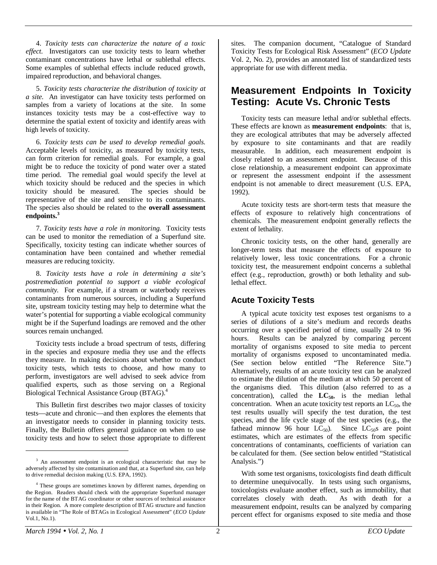4. *Toxicity tests can characterize the nature of a toxic effect.* Investigators can use toxicity tests to learn whether contaminant concentrations have lethal or sublethal effects. Some examples of sublethal effects include reduced growth, impaired reproduction, and behavioral changes.

5. *Toxicity tests characterize the distribution of toxicity at a site.* An investigator can have toxicity tests performed on samples from a variety of locations at the site. In some instances toxicity tests may be a cost-effective way to determine the spatial extent of toxicity and identify areas with high levels of toxicity.

6. *Toxicity tests can be used to develop remedial goals.* Acceptable levels of toxicity, as measured by toxicity tests, can form criterion for remedial goals. For example, a goal might be to reduce the toxicity of pond water over a stated time period. The remedial goal would specify the level at which toxicity should be reduced and the species in which toxicity should be measured. The species should be representative of the site and sensitive to its contaminants. The species also should be related to the **overall assessment endpoints.<sup>3</sup>**

7. *Toxicity tests have a role in monitoring.* Toxicity tests can be used to monitor the remediation of a Superfund site. Specifically, toxicity testing can indicate whether sources of contamination have been contained and whether remedial measures are reducing toxicity.

8. *Toxicity tests have a role in determining a site's postremediation potential to support a viable ecological community.* For example, if a stream or waterbody receives contaminants from numerous sources, including a Superfund site, upstream toxicity testing may help to determine what the water's potential for supporting a viable ecological community might be if the Superfund loadings are removed and the other sources remain unchanged.

Toxicity tests include a broad spectrum of tests, differing in the species and exposure media they use and the effects they measure. In making decisions about whether to conduct toxicity tests, which tests to choose, and how many to perform, investigators are well advised to seek advice from qualified experts, such as those serving on a Regional Biological Technical Assistance Group (BTAG).4

This Bulletin first describes two major classes of toxicity tests—acute and chronic—and then explores the elements that an investigator needs to consider in planning toxicity tests. Finally, the Bulletin offers general guidance on when to use toxicity tests and how to select those appropriate to different

sites. The companion document, "Catalogue of Standard Toxicity Tests for Ecological Risk Assessment" (*ECO Update* Vol. 2, No. 2), provides an annotated list of standardized tests appropriate for use with different media.

# **Measurement Endpoints In Toxicity Testing: Acute Vs. Chronic Tests**

Toxicity tests can measure lethal and/or sublethal effects. These effects are known as **measurement endpoints**: that is, they are ecological attributes that may be adversely affected by exposure to site contaminants and that are readily measurable. In addition, each measurement endpoint is closely related to an assessment endpoint. Because of this close relationship, a measurement endpoint can approximate or represent the assessment endpoint if the assessment endpoint is not amenable to direct measurement (U.S. EPA, 1992).

Acute toxicity tests are short-term tests that measure the effects of exposure to relatively high concentrations of chemicals. The measurement endpoint generally reflects the extent of lethality.

Chronic toxicity tests, on the other hand, generally are longer-term tests that measure the effects of exposure to relatively lower, less toxic concentrations. For a chronic toxicity test, the measurement endpoint concerns a sublethal effect (e.g., reproduction, growth) or both lethality and sublethal effect.

## **Acute Toxicity Tests**

A typical acute toxicity test exposes test organisms to a series of dilutions of a site's medium and records deaths occurring over a specified period of time, usually 24 to 96 hours. Results can be analyzed by comparing percent mortality of organisms exposed to site media to percent mortality of organisms exposed to uncontaminated media. (See section below entitled "The Reference Site.") Alternatively, results of an acute toxicity test can be analyzed to estimate the dilution of the medium at which 50 percent of the organisms died. This dilution (also referred to as a concentration), called the  $LC_{50}$ , is the median lethal concentration. When an acute toxicity test reports an  $LC_{50}$ , the test results usually will specify the test duration, the test species, and the life cycle stage of the test species (e.g., the fathead minnow 96 hour  $LC_{50}$ . Since  $LC_{50}$ s are point estimates, which are estimates of the effects from specific concentrations of contaminants, coefficients of variation can be calculated for them. (See section below entitled "Statistical Analysis.")

With some test organisms, toxicologists find death difficult to determine unequivocally. In tests using such organisms, toxicologists evaluate another effect, such as immobility, that correlates closely with death. As with death for a measurement endpoint, results can be analyzed by comparing percent effect for organisms exposed to site media and those

<sup>&</sup>lt;sup>3</sup> An assessment endpoint is an ecological characteristic that may be adversely affected by site contamination and that, at a Superfund site, can help to drive remedial decision making (U.S. EPA, 1992).

<sup>&</sup>lt;sup>4</sup> These groups are sometimes known by different names, depending on the Region. Readers should check with the appropriate Superfund manager for the name of the BTAG coordinator or other sources of technical assistance in their Region. A more complete description of BTAG structure and function is available in "The Role of BTAGs in Ecological Assessment" (*ECO Update* Vol.1, No.1).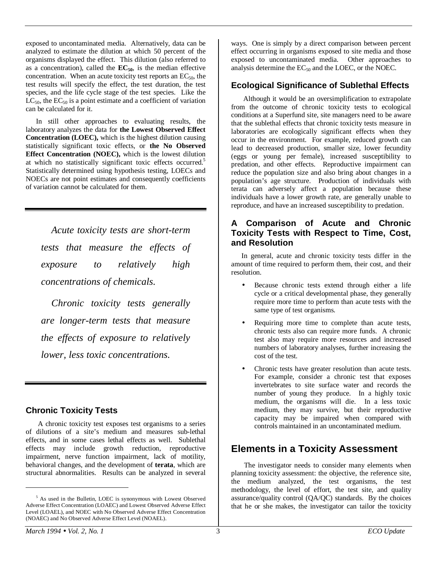exposed to uncontaminated media. Alternatively, data can be analyzed to estimate the dilution at which 50 percent of the organisms displayed the effect. This dilution (also referred to as a concentration), called the  $EC_{50}$ , is the median effective concentration. When an acute toxicity test reports an  $EC_{50}$ , the test results will specify the effect, the test duration, the test species, and the life cycle stage of the test species. Like the  $LC_{50}$ , the  $EC_{50}$  is a point estimate and a coefficient of variation can be calculated for it.

In still other approaches to evaluating results, the laboratory analyzes the data for **the Lowest Observed Effect Concentration (LOEC),** which is the highest dilution causing statistically significant toxic effects, or **the No Observed Effect Concentration (NOEC),** which is the lowest dilution at which no statistically significant toxic effects occurred.<sup>5</sup> Statistically determined using hypothesis testing, LOECs and NOECs are not point estimates and consequently coefficients of variation cannot be calculated for them.

*Acute toxicity tests are short-term tests that measure the effects of exposure to relatively high concentrations of chemicals.*

*Chronic toxicity tests generally are longer-term tests that measure the effects of exposure to relatively lower, less toxic concentrations.*

## **Chronic Toxicity Tests**

 A chronic toxicity test exposes test organisms to a series of dilutions of a site's medium and measures sub-lethal effects, and in some cases lethal effects as well. Sublethal effects may include growth reduction, reproductive impairment, nerve function impairment, lack of motility, behavioral changes, and the development of **terata**, which are structural abnormalities. Results can be analyzed in several

ways. One is simply by a direct comparison between percent effect occurring in organisms exposed to site media and those exposed to uncontaminated media. Other approaches to analysis determine the  $EC_{50}$  and the LOEC, or the NOEC.

# **Ecological Significance of Sublethal Effects**

 Although it would be an oversimplification to extrapolate from the outcome of chronic toxicity tests to ecological conditions at a Superfund site, site managers need to be aware that the sublethal effects that chronic toxicity tests measure in laboratories are ecologically significant effects when they occur in the environment. For example, reduced growth can lead to decreased production, smaller size, lower fecundity (eggs or young per female), increased susceptibility to predation, and other effects. Reproductive impairment can reduce the population size and also bring about changes in a population's age structure. Production of individuals with terata can adversely affect a population because these individuals have a lower growth rate, are generally unable to reproduce, and have an increased susceptibility to predation.

#### **A Comparison of Acute and Chronic Toxicity Tests with Respect to Time, Cost, and Resolution**

In general, acute and chronic toxicity tests differ in the amount of time required to perform them, their cost, and their resolution.

- Because chronic tests extend through either a life cycle or a critical developmental phase, they generally require more time to perform than acute tests with the same type of test organisms.
- Requiring more time to complete than acute tests, chronic tests also can require more funds. A chronic test also may require more resources and increased numbers of laboratory analyses, further increasing the cost of the test.
- Chronic tests have greater resolution than acute tests. For example, consider a chronic test that exposes invertebrates to site surface water and records the number of young they produce. In a highly toxic medium, the organisms will die. In a less toxic medium, they may survive, but their reproductive capacity may be impaired when compared with controls maintained in an uncontaminated medium.

# **Elements in a Toxicity Assessment**

The investigator needs to consider many elements when planning toxicity assessment: the objective, the reference site, the medium analyzed, the test organisms, the test methodology, the level of effort, the test site, and quality assurance/quality control (QA/QC) standards. By the choices that he or she makes, the investigator can tailor the toxicity

<sup>&</sup>lt;sup>5</sup> As used in the Bulletin, LOEC is synonymous with Lowest Observed Adverse Effect Concentration (LOAEC) and Lowest Observed Adverse Effect Level (LOAEL), and NOEC with No Observed Adverse Effect Concentration (NOAEC) and No Observed Adverse Effect Level (NOAEL).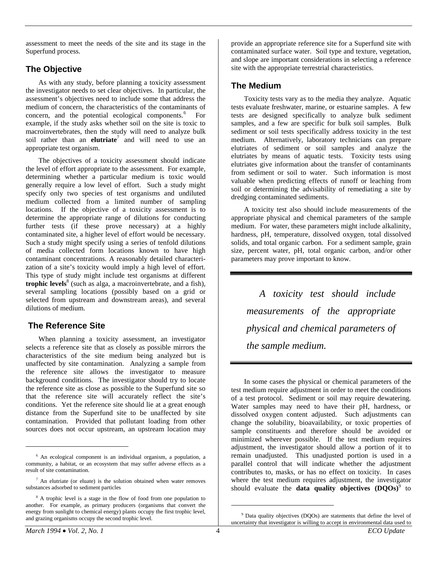assessment to meet the needs of the site and its stage in the Superfund process.

#### **The Objective**

As with any study, before planning a toxicity assessment the investigator needs to set clear objectives. In particular, the assessment's objectives need to include some that address the medium of concern, the characteristics of the contaminants of concern, and the potential ecological components.<sup>6</sup> For example, if the study asks whether soil on the site is toxic to macroinvertebrates, then the study will need to analyze bulk soil rather than an **elutriate**<sup>7</sup> and will need to use an appropriate test organism.

The objectives of a toxicity assessment should indicate the level of effort appropriate to the assessment. For example, determining whether a particular medium is toxic would generally require a low level of effort. Such a study might specify only two species of test organisms and undiluted medium collected from a limited number of sampling locations. If the objective of a toxicity assessment is to determine the appropriate range of dilutions for conducting further tests (if these prove necessary) at a highly contaminated site, a higher level of effort would be necessary. Such a study might specify using a series of tenfold dilutions of media collected form locations known to have high contaminant concentrations. A reasonably detailed characterization of a site's toxicity would imply a high level of effort. This type of study might include test organisms at different **trophic levels**<sup>8</sup> (such as alga, a macroinvertebrate, and a fish), several sampling locations (possibly based on a grid or selected from upstream and downstream areas), and several dilutions of medium.

## **The Reference Site**

When planning a toxicity assessment, an investigator selects a reference site that as closely as possible mirrors the characteristics of the site medium being analyzed but is unaffected by site contamination. Analyzing a sample from the reference site allows the investigator to measure background conditions. The investigator should try to locate the reference site as close as possible to the Superfund site so that the reference site will accurately reflect the site's conditions. Yet the reference site should lie at a great enough distance from the Superfund site to be unaffected by site contamination. Provided that pollutant loading from other sources does not occur upstream, an upstream location may provide an appropriate reference site for a Superfund site with contaminated surface water. Soil type and texture, vegetation, and slope are important considerations in selecting a reference site with the appropriate terrestrial characteristics.

#### **The Medium**

Toxicity tests vary as to the media they analyze. Aquatic tests evaluate freshwater, marine, or estuarine samples. A few tests are designed specifically to analyze bulk sediment samples, and a few are specific for bulk soil samples. Bulk sediment or soil tests specifically address toxicity in the test medium. Alternatively, laboratory technicians can prepare elutriates of sediment or soil samples and analyze the elutriates by means of aquatic tests. Toxicity tests using elutriates give information about the transfer of contaminants from sediment or soil to water. Such information is most valuable when predicting effects of runoff or leaching from soil or determining the advisability of remediating a site by dredging contaminated sediments.

A toxicity test also should include measurements of the appropriate physical and chemical parameters of the sample medium. For water, these parameters might include alkalinity, hardness, pH, temperature, dissolved oxygen, total dissolved solids, and total organic carbon. For a sediment sample, grain size, percent water, pH, total organic carbon, and/or other parameters may prove important to know.

*A toxicity test should include measurements of the appropriate physical and chemical parameters of the sample medium.*

In some cases the physical or chemical parameters of the test medium require adjustment in order to meet the conditions of a test protocol. Sediment or soil may require dewatering. Water samples may need to have their pH, hardness, or dissolved oxygen content adjusted. Such adjustments can change the solubility, bioavailability, or toxic properties of sample constituents and therefore should be avoided or minimized wherever possible. If the test medium requires adjustment, the investigator should allow a portion of it to remain unadjusted. This unadjusted portion is used in a parallel control that will indicate whether the adjustment contributes to, masks, or has no effect on toxicity. In cases where the test medium requires adjustment, the investigator should evaluate the **data quality objectives (DQOs)**<sup>9</sup> to

 $\overline{a}$ 

<sup>6</sup> An ecological component is an individual organism, a population, a community, a habitat, or an ecosystem that may suffer adverse effects as a result of site contamination.

 $<sup>7</sup>$  An elutriate (or eluate) is the solution obtained when water removes</sup> substances adsorbed to sediment particles

<sup>&</sup>lt;sup>8</sup> A trophic level is a stage in the flow of food from one population to another. For example, as primary producers (organisms that convert the energy from sunlight to chemical energy) plants occupy the first trophic level, and grazing organisms occupy the second trophic level.

<sup>&</sup>lt;sup>9</sup> Data quality objectives (DQOs) are statements that define the level of uncertainty that investigator is willing to accept in environmental data used to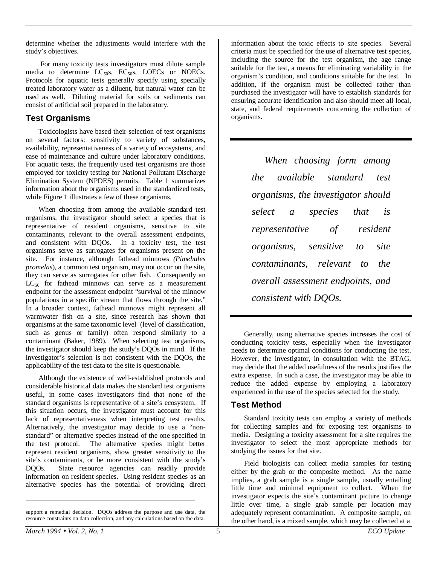determine whether the adjustments would interfere with the study's objectives.

 For many toxicity tests investigators must dilute sample media to determine  $LC_{50}$ s,  $EC_{50}$ s,  $LOECs$  or NOECs. Protocols for aquatic tests generally specify using specially treated laboratory water as a diluent, but natural water can be used as well. Diluting material for soils or sediments can consist of artificial soil prepared in the laboratory.

#### **Test Organisms**

Toxicologists have based their selection of test organisms on several factors: sensitivity to variety of substances, availability, representativeness of a variety of ecosystems, and ease of maintenance and culture under laboratory conditions. For aquatic tests, the frequently used test organisms are those employed for toxicity testing for National Pollutant Discharge Elimination System (NPDES) permits. Table 1 summarizes information about the organisms used in the standardized tests, while Figure 1 illustrates a few of these organisms.

When choosing from among the available standard test organisms, the investigator should select a species that is representative of resident organisms, sensitive to site contaminants, relevant to the overall assessment endpoints, and consistent with DQOs. In a toxicity test, the test organisms serve as surrogates for organisms present on the site. For instance, although fathead minnows *(Pimehales promelas*), a common test organism, may not occur on the site, they can serve as surrogates for other fish. Consequently an  $LC_{50}$  for fathead minnows can serve as a measurement endpoint for the assessment endpoint "survival of the minnow populations in a specific stream that flows through the site." In a broader context, fathead minnows might represent all warmwater fish on a site, since research has shown that organisms at the same taxonomic level (level of classification, such as genus or family) often respond similarly to a contaminant (Baker, 1989). When selecting test organisms, the investigator should keep the study's DQOs in mind. If the investigator's selection is not consistent with the DQOs, the applicability of the test data to the site is questionable.

Although the existence of well-established protocols and considerable historical data makes the standard test organisms useful, in some cases investigators find that none of the standard organisms is representative of a site's ecosystem. If this situation occurs, the investigator must account for this lack of representativeness when interpreting test results. Alternatively, the investigator may decide to use a "nonstandard" or alternative species instead of the one specified in the test protocol. The alternative species might better represent resident organisms, show greater sensitivity to the site's contaminants, or be more consistent with the study's DOOs. State resource agencies can readily provide State resource agencies can readily provide information on resident species. Using resident species as an alternative species has the potential of providing direct information about the toxic effects to site species. Several criteria must be specified for the use of alternative test species, including the source for the test organism, the age range suitable for the test, a means for eliminating variability in the organism's condition, and conditions suitable for the test. In addition, if the organism must be collected rather than purchased the investigator will have to establish standards for ensuring accurate identification and also should meet all local, state, and federal requirements concerning the collection of organisms.

*When choosing form among the available standard test organisms, the investigator should select a species that is representative of resident organisms, sensitive to site contaminants, relevant to the overall assessment endpoints, and consistent with DQOs.*

Generally, using alternative species increases the cost of conducting toxicity tests, especially when the investigator needs to determine optimal conditions for conducting the test. However, the investigator, in consultation with the BTAG, may decide that the added usefulness of the results justifies the extra expense. In such a case, the investigator may be able to reduce the added expense by employing a laboratory experienced in the use of the species selected for the study.

#### **Test Method**

Standard toxicity tests can employ a variety of methods for collecting samples and for exposing test organisms to media. Designing a toxicity assessment for a site requires the investigator to select the most appropriate methods for studying the issues for that site.

Field biologists can collect media samples for testing either by the grab or the composite method. As the name implies, a grab sample is a single sample, usually entailing little time and minimal equipment to collect. When the investigator expects the site's contaminant picture to change little over time, a single grab sample per location may adequately represent contamination. A composite sample, on the other hand, is a mixed sample, which may be collected at a

support a remedial decision. DQOs address the purpose and use data, the resource constraints on data collection, and any calculations based on the data.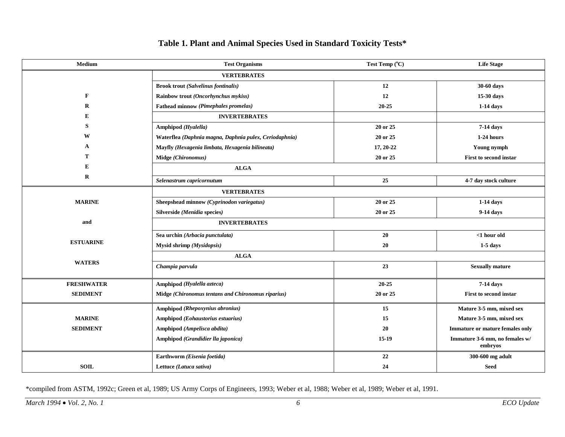| Medium            | <b>Test Organisms</b>                                  | Test Temp (°C) | <b>Life Stage</b>                         |  |
|-------------------|--------------------------------------------------------|----------------|-------------------------------------------|--|
|                   | <b>VERTEBRATES</b>                                     |                |                                           |  |
|                   | <b>Brook trout (Salvelinus fontinalis)</b>             | 12             | 30-60 days                                |  |
| $\mathbf{F}$      | Rainbow trout (Oncorhynchus mykiss)                    | 12             | 15-30 days                                |  |
| $\bf{R}$          | Fathead minnow (Pimephales promelas)                   | $20 - 25$      | $1-14$ days                               |  |
| E                 | <b>INVERTEBRATES</b>                                   |                |                                           |  |
| S                 | Amphipod (Hyalella)                                    | 20 or 25       | 7-14 days                                 |  |
| W                 | Waterflea (Daphnia magna, Daphnia pulex, Ceriodaphnia) | 20 or 25       | 1-24 hours                                |  |
| $\mathbf{A}$      | Mayfly (Hexagenia limbata, Hexagenia bilineata)        | 17, 20-22      | Young nymph                               |  |
| т                 | Midge (Chironomus)                                     | 20 or 25       | <b>First to second instar</b>             |  |
| E                 | <b>ALGA</b>                                            |                |                                           |  |
| $\mathbf R$       | Selenastrum capricornutum                              | 25             | 4-7 day stock culture                     |  |
|                   | <b>VERTEBRATES</b>                                     |                |                                           |  |
| <b>MARINE</b>     | Sheepshead minnow (Cyprinodon variegatus)              | 20 or 25       | $1-14$ days                               |  |
|                   | Silverside (Menidia species)                           | 20 or 25       | 9-14 days                                 |  |
| and               | <b>INVERTEBRATES</b>                                   |                |                                           |  |
| <b>ESTUARINE</b>  | Sea urchin (Arbacia punctulata)                        | 20             | $<$ 1 hour old                            |  |
|                   | Mysid shrimp (Mysidopsis)                              | 20             | $1-5$ days                                |  |
| <b>WATERS</b>     | $\mathbf{ALGA}$                                        |                |                                           |  |
|                   | Champia parvula                                        | 23             | <b>Sexually mature</b>                    |  |
| <b>FRESHWATER</b> | Amphipod (Hyalella azteca)                             | $20 - 25$      | 7-14 days                                 |  |
| <b>SEDIMENT</b>   | Midge (Chironomus tentans and Chironomus riparius)     | 20 or 25       | First to second instar                    |  |
|                   | Amphipod (Rhepoxynius abronius)                        | 15             | Mature 3-5 mm, mixed sex                  |  |
| <b>MARINE</b>     | Amphipod (Eohaustorius estuarius)                      | 15             | Mature 3-5 mm, mixed sex                  |  |
| <b>SEDIMENT</b>   | Amphipod (Ampelisca abdita)                            | 20             | Immature or mature females only           |  |
|                   | Amphipod (Grandidier lla japonica)                     | $15-19$        | Immature 3-6 mm, no females w/<br>embrvos |  |
|                   | Earthworm (Eisenia foetida)                            | 22             | 300-600 mg adult                          |  |
| <b>SOIL</b>       | Lettuce (Latuca sativa)                                | 24             | <b>Seed</b>                               |  |

#### **Table 1. Plant and Animal Species Used in Standard Toxicity Tests\***

\*compiled from ASTM, 1992c; Green et al, 1989; US Army Corps of Engineers, 1993; Weber et al, 1988; Weber et al, 1989; Weber et al, 1991.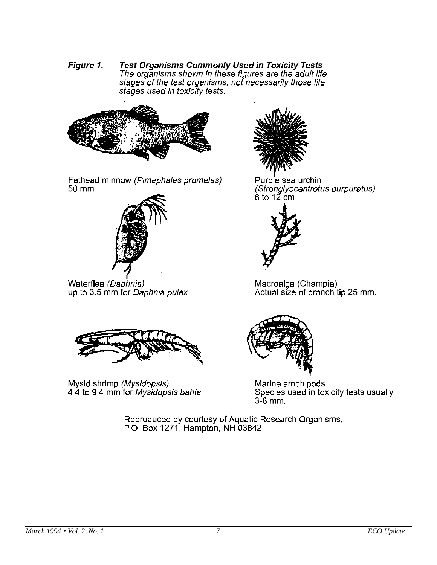Figure 1. **Test Organisms Commonly Used in Toxicity Tests** The organisms shown in these figures are the adult life stages of the test organisms, not necessarily those life stages used in toxicity tests.



Fathead minnow (Pimephales promelas) 50 mm.



Waterflea (Daphnia) up to 3.5 mm for Daphnia pulex



Mysid shrimp (Mysidopsis) 4.4 to 9.4 mm for Mysidopsis bahia



Purple sea urchin (Stronglyocentrotus purpuratus)  $6$  to 12 cm



Macroalga (Champia) Actual size of branch tip 25 mm.



Marine amphipods Species used in toxicity tests usually 3-6 mm.

Reproduced by courtesy of Aquatic Research Organisms, P.O. Box 1271, Hampton, NH 03842.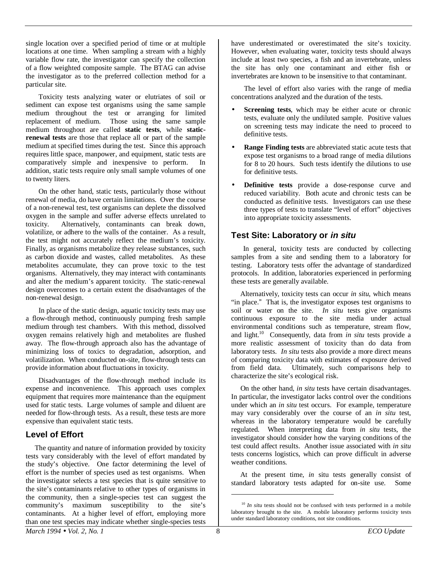single location over a specified period of time or at multiple locations at one time. When sampling a stream with a highly variable flow rate, the investigator can specify the collection of a flow weighted composite sample. The BTAG can advise the investigator as to the preferred collection method for a particular site.

Toxicity tests analyzing water or elutriates of soil or sediment can expose test organisms using the same sample medium throughout the test or arranging for limited replacement of medium. Those using the same sample medium throughout are called **static tests**, while **staticrenewal tests** are those that replace all or part of the sample medium at specified times during the test. Since this approach requires little space, manpower, and equipment, static tests are comparatively simple and inexpensive to perform. In addition, static tests require only small sample volumes of one to twenty liters.

On the other hand, static tests, particularly those without renewal of media, do have certain limitations. Over the course of a non-renewal test, test organisms can deplete the dissolved oxygen in the sample and suffer adverse effects unrelated to toxicity. Alternatively, contaminants can break down, volatilize, or adhere to the walls of the container. As a result, the test might not accurately reflect the medium's toxicity. Finally, as organisms metabolize they release substances, such as carbon dioxide and wastes, called metabolites. As these metabolites accumulate, they can prove toxic to the test organisms. Alternatively, they may interact with contaminants and alter the medium's apparent toxicity. The static-renewal design overcomes to a certain extent the disadvantages of the non-renewal design.

In place of the static design, aquatic toxicity tests may use a flow-through method, continuously pumping fresh sample medium through test chambers. With this method, dissolved oxygen remains relatively high and metabolites are flushed away. The flow-through approach also has the advantage of minimizing loss of toxics to degradation, adsorption, and volatilization. When conducted on-site, flow-through tests can provide information about fluctuations in toxicity.

Disadvantages of the flow-through method include its expense and inconvenience. This approach uses complex equipment that requires more maintenance than the equipment used for static tests. Large volumes of sample and diluent are needed for flow-through tests. As a result, these tests are more expensive than equivalent static tests.

## **Level of Effort**

 The quantity and nature of information provided by toxicity tests vary considerably with the level of effort mandated by the study's objective. One factor determining the level of effort is the number of species used as test organisms. When the investigator selects a test species that is quite sensitive to the site's contaminants relative to other types of organisms in the community, then a single-species test can suggest the community's maximum susceptibility to the site's contaminants. At a higher level of effort, employing more than one test species may indicate whether single-species tests

have underestimated or overestimated the site's toxicity. However, when evaluating water, toxicity tests should always include at least two species, a fish and an invertebrate, unless the site has only one contaminant and either fish or invertebrates are known to be insensitive to that contaminant.

The level of effort also varies with the range of media concentrations analyzed and the duration of the tests.

- **Screening tests**, which may be either acute or chronic tests, evaluate only the undiluted sample. Positive values on screening tests may indicate the need to proceed to definitive tests.
- **Range Finding tests** are abbreviated static acute tests that expose test organisms to a broad range of media dilutions for 8 to 20 hours. Such tests identify the dilutions to use for definitive tests.
- **Definitive tests** provide a dose-response curve and reduced variability. Both acute and chronic tests can be conducted as definitive tests. Investigators can use these three types of tests to translate "level of effort" objectives into appropriate toxicity assessments.

## **Test Site: Laboratory or in situ**

 In general, toxicity tests are conducted by collecting samples from a site and sending them to a laboratory for testing. Laboratory tests offer the advantage of standardized protocols. In addition, laboratories experienced in performing these tests are generally available.

 Alternatively, toxicity tests can occur *in situ*, which means "in place." That is, the investigator exposes test organisms to soil or water on the site. *In situ* tests give organisms continuous exposure to the site media under actual environmental conditions such as temperature, stream flow, and light.10 Consequently, data from *in situ* tests provide a more realistic assessment of toxicity than do data from laboratory tests. *In situ* tests also provide a more direct means of comparing toxicity data with estimates of exposure derived from field data. Ultimately, such comparisons help to characterize the site's ecological risk.

 On the other hand, *in situ* tests have certain disadvantages. In particular, the investigator lacks control over the conditions under which an *in situ* test occurs. For example, temperature may vary considerably over the course of an *in situ* test, whereas in the laboratory temperature would be carefully regulated. When interpreting data from *in situ* tests, the investigator should consider how the varying conditions of the test could affect results. Another issue associated with *in situ* tests concerns logistics, which can prove difficult in adverse weather conditions.

 At the present time, *in* situ tests generally consist of standard laboratory tests adapted for on-site use. Some

<sup>&</sup>lt;sup>10</sup> *In situ* tests should not be confused with tests performed in a mobile laboratory brought to the site. A mobile laboratory performs toxicity tests under standard laboratory conditions, not site conditions.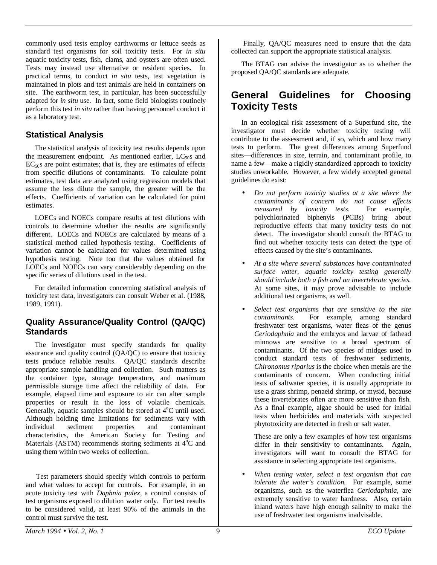commonly used tests employ earthworms or lettuce seeds as standard test organisms for soil toxicity tests. For *in situ* aquatic toxicity tests, fish, clams, and oysters are often used. Tests may instead use alternative or resident species. In practical terms, to conduct *in situ* tests, test vegetation is maintained in plots and test animals are held in containers on site. The earthworm test, in particular, has been successfully adapted for *in situ* use. In fact, some field biologists routinely perform this test *in situ* rather than having personnel conduct it as a laboratory test.

## **Statistical Analysis**

 The statistical analysis of toxicity test results depends upon the measurement endpoint. As mentioned earlier,  $LC_{50}$  and  $EC<sub>50</sub>$ s are point estimates; that is, they are estimates of effects from specific dilutions of contaminants. To calculate point estimates, test data are analyzed using regression models that assume the less dilute the sample, the greater will be the effects. Coefficients of variation can be calculated for point estimates.

 LOECs and NOECs compare results at test dilutions with controls to determine whether the results are significantly different. LOECs and NOECs are calculated by means of a statistical method called hypothesis testing. Coefficients of variation cannot be calculated for values determined using hypothesis testing. Note too that the values obtained for LOECs and NOECs can vary considerably depending on the specific series of dilutions used in the test.

 For detailed information concerning statistical analysis of toxicity test data, investigators can consult Weber et al. (1988, 1989, 1991).

#### **Quality Assurance/Quality Control (QA/QC) Standards**

 The investigator must specify standards for quality assurance and quality control (QA/QC) to ensure that toxicity tests produce reliable results. QA/QC standards describe appropriate sample handling and collection. Such matters as the container type, storage temperature, and maximum permissible storage time affect the reliability of data. For example, elapsed time and exposure to air can alter sample properties or result in the loss of volatile chemicals. Generally, aquatic samples should be stored at 4°C until used. Although holding time limitations for sediments vary with individual sediment properties and contaminant characteristics, the American Society for Testing and Materials (ASTM) recommends storing sediments at  $4^{\circ}$ C and using them within two weeks of collection.

Test parameters should specify which controls to perform and what values to accept for controls. For example, in an acute toxicity test with *Daphnia pulex*, a control consists of test organisms exposed to dilution water only. For test results to be considered valid, at least 90% of the animals in the control must survive the test.

 Finally, QA/QC measures need to ensure that the data collected can support the appropriate statistical analysis.

The BTAG can advise the investigator as to whether the proposed QA/QC standards are adequate.

# **General Guidelines for Choosing Toxicity Tests**

In an ecological risk assessment of a Superfund site, the investigator must decide whether toxicity testing will contribute to the assessment and, if so, which and how many tests to perform. The great differences among Superfund sites—differences in size, terrain, and contaminant profile, to name a few—make a rigidly standardized approach to toxicity studies unworkable. However, a few widely accepted general guidelines do exist:

- *Do not perform toxicity studies at a site where the contaminants of concern do not cause effects measured by toxicity tests.* For example, polychlorinated biphenyls (PCBs) bring about reproductive effects that many toxicity tests do not detect. The investigator should consult the BTAG to find out whether toxicity tests can detect the type of effects caused by the site's contaminants.
- *At a site where several substances have contaminated surface water, aquatic toxicity testing generally should include both a fish and an invertebrate species.* At some sites, it may prove advisable to include additional test organisms, as well.
- *Select test organisms that are sensitive to the site contaminants.* For example, among standard freshwater test organisms, water fleas of the genus *Ceriodaphnia* and the embryos and larvae of fathead minnows are sensitive to a broad spectrum of contaminants. Of the two species of midges used to conduct standard tests of freshwater sediments, *Chironomus riparius* is the choice when metals are the contaminants of concern. When conducting initial tests of saltwater species, it is usually appropriate to use a grass shrimp, penaeid shrimp, or mysid, because these invertebrates often are more sensitive than fish. As a final example, algae should be used for initial tests when herbicides and materials with suspected phytotoxicity are detected in fresh or salt water.

These are only a few examples of how test organisms differ in their sensitivity to contaminants. Again, investigators will want to consult the BTAG for assistance in selecting appropriate test organisms.

• *When testing water, select a test organism that can tolerate the water's condition.* For example, some organisms, such as the waterflea *Ceriodaphnia*, are extremely sensitive to water hardness. Also, certain inland waters have high enough salinity to make the use of freshwater test organisms inadvisable.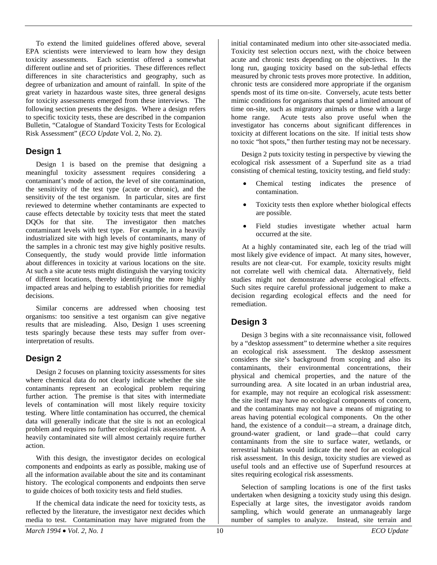To extend the limited guidelines offered above, several EPA scientists were interviewed to learn how they design toxicity assessments. Each scientist offered a somewhat different outline and set of priorities. These differences reflect differences in site characteristics and geography, such as degree of urbanization and amount of rainfall. In spite of the great variety in hazardous waste sites, three general designs for toxicity assessments emerged from these interviews. The following section presents the designs. Where a design refers to specific toxicity tests, these are described in the companion Bulletin, "Catalogue of Standard Toxicity Tests for Ecological Risk Assessment" (*ECO Update* Vol. 2, No. 2).

## **Design 1**

Design 1 is based on the premise that designing a meaningful toxicity assessment requires considering a contaminant's mode of action, the level of site contamination, the sensitivity of the test type (acute or chronic), and the sensitivity of the test organism. In particular, sites are first reviewed to determine whether contaminants are expected to cause effects detectable by toxicity tests that meet the stated<br>DOOs for that site. The investigator then matches The investigator then matches contaminant levels with test type. For example, in a heavily industrialized site with high levels of contaminants, many of the samples in a chronic test may give highly positive results. Consequently, the study would provide little information about differences in toxicity at various locations on the site. At such a site acute tests might distinguish the varying toxicity of different locations, thereby identifying the more highly impacted areas and helping to establish priorities for remedial decisions.

Similar concerns are addressed when choosing test organisms: too sensitive a test organism can give negative results that are misleading. Also, Design 1 uses screening tests sparingly because these tests may suffer from overinterpretation of results.

# **Design 2**

Design 2 focuses on planning toxicity assessments for sites where chemical data do not clearly indicate whether the site contaminants represent an ecological problem requiring further action. The premise is that sites with intermediate levels of contamination will most likely require toxicity testing. Where little contamination has occurred, the chemical data will generally indicate that the site is not an ecological problem and requires no further ecological risk assessment. A heavily contaminated site will almost certainly require further action.

With this design, the investigator decides on ecological components and endpoints as early as possible, making use of all the information available about the site and its contaminant history. The ecological components and endpoints then serve to guide choices of both toxicity tests and field studies.

If the chemical data indicate the need for toxicity tests, as reflected by the literature, the investigator next decides which media to test. Contamination may have migrated from the initial contaminated medium into other site-associated media. Toxicity test selection occurs next, with the choice between acute and chronic tests depending on the objectives. In the long run, gauging toxicity based on the sub-lethal effects measured by chronic tests proves more protective. In addition, chronic tests are considered more appropriate if the organism spends most of its time on-site. Conversely, acute tests better mimic conditions for organisms that spend a limited amount of time on-site, such as migratory animals or those with a large home range. Acute tests also prove useful when the investigator has concerns about significant differences in toxicity at different locations on the site. If initial tests show no toxic "hot spots," then further testing may not be necessary.

Design 2 puts toxicity testing in perspective by viewing the ecological risk assessment of a Superfund site as a triad consisting of chemical testing, toxicity testing, and field study:

- x Chemical testing indicates the presence of contamination.
- x Toxicity tests then explore whether biological effects are possible.
- $\overline{a}$  Field studies investigate whether actual harm occurred at the site.

 At a highly contaminated site, each leg of the triad will most likely give evidence of impact. At many sites, however, results are not clear-cut. For example, toxicity results might not correlate well with chemical data. Alternatively, field studies might not demonstrate adverse ecological effects. Such sites require careful professional judgement to make a decision regarding ecological effects and the need for remediation.

# **Design 3**

Design 3 begins with a site reconnaissance visit, followed by a "desktop assessment" to determine whether a site requires an ecological risk assessment. The desktop assessment considers the site's background from scoping and also its contaminants, their environmental concentrations, their physical and chemical properties, and the nature of the surrounding area. A site located in an urban industrial area, for example, may not require an ecological risk assessment: the site itself may have no ecological components of concern, and the contaminants may not have a means of migrating to areas having potential ecological components. On the other hand, the existence of a conduit—a stream, a drainage ditch, ground-water gradient, or land grade—that could carry contaminants from the site to surface water, wetlands, or terrestrial habitats would indicate the need for an ecological risk assessment. In this design, toxicity studies are viewed as useful tools and an effective use of Superfund resources at sites requiring ecological risk assessments.

Selection of sampling locations is one of the first tasks undertaken when designing a toxicity study using this design. Especially at large sites, the investigator avoids random sampling, which would generate an unmanageably large number of samples to analyze. Instead, site terrain and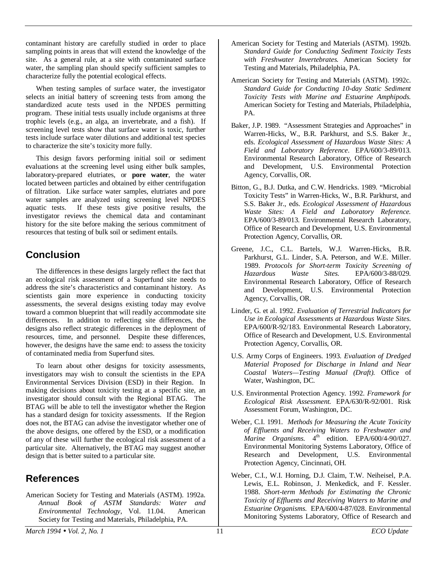contaminant history are carefully studied in order to place sampling points in areas that will extend the knowledge of the site. As a general rule, at a site with contaminated surface water, the sampling plan should specify sufficient samples to characterize fully the potential ecological effects.

When testing samples of surface water, the investigator selects an initial battery of screening tests from among the standardized acute tests used in the NPDES permitting program. These initial tests usually include organisms at three trophic levels (e.g., an alga, an invertebrate, and a fish). If screening level tests show that surface water is toxic, further tests include surface water dilutions and additional test species to characterize the site's toxicity more fully.

This design favors performing initial soil or sediment evaluations at the screening level using either bulk samples, laboratory-prepared elutriates, or **pore water**, the water located between particles and obtained by either centrifugation of filtration. Like surface water samples, elutriates and pore water samples are analyzed using screening level NPDES aquatic tests. If these tests give positive results, the investigator reviews the chemical data and contaminant history for the site before making the serious commitment of resources that testing of bulk soil or sediment entails.

# **Conclusion**

The differences in these designs largely reflect the fact that an ecological risk assessment of a Superfund site needs to address the site's characteristics and contaminant history. As scientists gain more experience in conducting toxicity assessments, the several designs existing today may evolve toward a common blueprint that will readily accommodate site differences. In addition to reflecting site differences, the designs also reflect strategic differences in the deployment of resources, time, and personnel. Despite these differences, however, the designs have the same end: to assess the toxicity of contaminated media from Superfund sites.

To learn about other designs for toxicity assessments, investigators may wish to consult the scientists in the EPA Environmental Services Division (ESD) in their Region. In making decisions about toxicity testing at a specific site, an investigator should consult with the Regional BTAG. The BTAG will be able to tell the investigator whether the Region has a standard design for toxicity assessments. If the Region does not, the BTAG can advise the investigator whether one of the above designs, one offered by the ESD, or a modification of any of these will further the ecological risk assessment of a particular site. Alternatively, the BTAG may suggest another design that is better suited to a particular site.

# **References**

American Society for Testing and Materials (ASTM). 1992a. *Annual Book of ASTM Standards: Water and Environmental Technology*, Vol. 11.04. American Society for Testing and Materials, Philadelphia, PA.

- American Society for Testing and Materials (ASTM). 1992b. *Standard Guide for Conducting Sediment Toxicity Tests with Freshwater Invertebrates.* American Society for Testing and Materials, Philadelphia, PA.
- American Society for Testing and Materials (ASTM). 1992c. *Standard Guide for Conducting 10-day Static Sediment Toxicity Tests with Marine and Estuarine Amphipods.* American Society for Testing and Materials, Philadelphia, PA.
- Baker, J.P. 1989. "Assessment Strategies and Approaches" in Warren-Hicks, W., B.R. Parkhurst, and S.S. Baker Jr., eds. *Ecological Assessment of Hazardous Waste Sites: A Field and Laboratory Reference*. EPA/600/3-89/013. Environmental Research Laboratory, Office of Research and Development, U.S. Environmental Protection Agency, Corvallis, OR.
- Bitton, G., B.J. Dutka, and C.W. Hendricks. 1989. "Microbial Toxicity Tests" in Warren-Hicks, W., B.R. Parkhurst, and S.S. Baker Jr., eds. *Ecological Assessment of Hazardous Waste Sites: A Field and Laboratory Reference.* EPA/600/3-89/013. Environmental Research Laboratory, Office of Research and Development, U.S. Environmental Protection Agency, Corvallis, OR.
- Greene, J.C., C.L. Bartels, W.J. Warren-Hicks, B.R. Parkhurst, G.L. Linder, S.A. Peterson, and W.E. Miller. 1989. *Protocols for Short-term Toxicity Screening of Hazardous Waste Sites.* EPA/600/3-88/029. Environmental Research Laboratory, Office of Research and Development, U.S. Environmental Protection Agency, Corvallis, OR.
- Linder, G. et al. 1992. *Evaluation of Terrestrial Indicators for Use in Ecological Assessments at Hazardous Waste Sites.* EPA/600/R-92/183. Environmental Research Laboratory, Office of Research and Development, U.S. Environmental Protection Agency, Corvallis, OR.
- U.S. Army Corps of Engineers. 1993. *Evaluation of Dredged Material Proposed for Discharge in Inland and Near Coastal Waters—Testing Manual (Draft).* Office of Water, Washington, DC.
- U.S. Environmental Protection Agency. 1992. *Framework for Ecological Risk Assessment.* EPA/630/R-92/001. Risk Assessment Forum, Washington, DC.
- Weber, C.I. 1991. *Methods for Measuring the Acute Toxicity of Effluents and Receiving Waters to Freshwater and Marine Organisms.*  $4^{\text{th}}$  edition. EPA/600/4-90/027. Environmental Monitoring Systems Laboratory, Office of Research and Development, U.S. Environmental Protection Agency, Cincinnati, OH.
- Weber, C.I., W.I. Horning, D.J. Claim, T.W. Neiheisel, P.A. Lewis, E.L. Robinson, J. Menkedick, and F. Kessler. 1988. *Short-term Methods for Estimating the Chronic Toxicity of Effluents and Receiving Waters to Marine and Estuarine Organisms.* EPA/600/4-87/028. Environmental Monitoring Systems Laboratory, Office of Research and